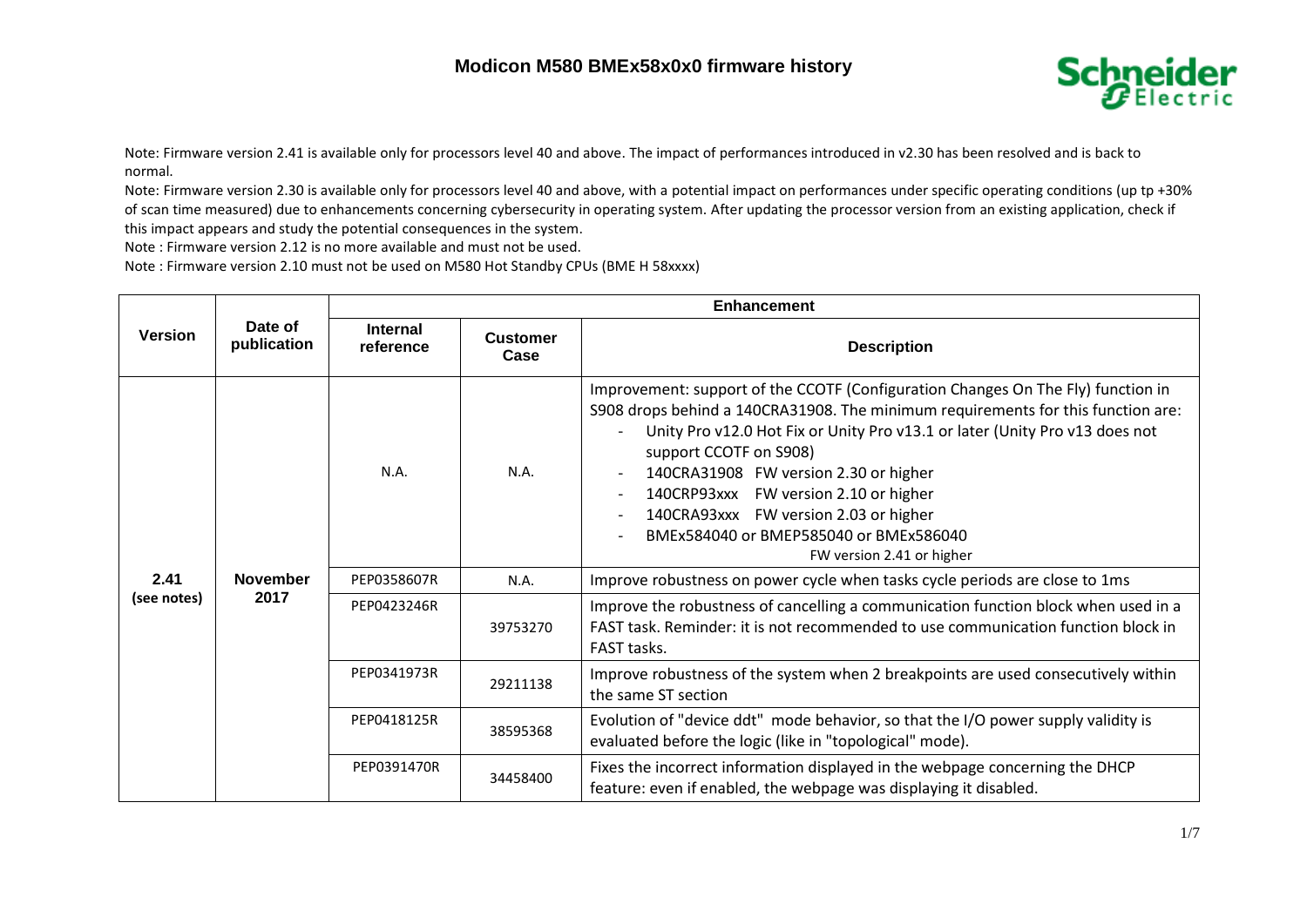## **Modicon M580 BMEx58x0x0 firmware history**



Note: Firmware version 2.41 is available only for processors level 40 and above. The impact of performances introduced in v2.30 has been resolved and is back to normal.

Note: Firmware version 2.30 is available only for processors level 40 and above, with a potential impact on performances under specific operating conditions (up tp +30% of scan time measured) due to enhancements concerning cybersecurity in operating system. After updating the processor version from an existing application, check if this impact appears and study the potential consequences in the system.

Note : Firmware version 2.12 is no more available and must not be used.

Note : Firmware version 2.10 must not be used on M580 Hot Standby CPUs (BME H 58xxxx)

|                     | Date of<br>publication  | <b>Enhancement</b>           |                         |                                                                                                                                                                                                                                                                                                                                                                                                                                                                                                                                                                     |  |
|---------------------|-------------------------|------------------------------|-------------------------|---------------------------------------------------------------------------------------------------------------------------------------------------------------------------------------------------------------------------------------------------------------------------------------------------------------------------------------------------------------------------------------------------------------------------------------------------------------------------------------------------------------------------------------------------------------------|--|
| <b>Version</b>      |                         | <b>Internal</b><br>reference | <b>Customer</b><br>Case | <b>Description</b>                                                                                                                                                                                                                                                                                                                                                                                                                                                                                                                                                  |  |
| 2.41<br>(see notes) | <b>November</b><br>2017 | N.A.                         | N.A.                    | Improvement: support of the CCOTF (Configuration Changes On The Fly) function in<br>S908 drops behind a 140CRA31908. The minimum requirements for this function are:<br>Unity Pro v12.0 Hot Fix or Unity Pro v13.1 or later (Unity Pro v13 does not<br>support CCOTF on S908)<br>140CRA31908 FW version 2.30 or higher<br>$\overline{\phantom{a}}$<br>140CRP93xxx FW version 2.10 or higher<br>$\overline{\phantom{a}}$<br>140CRA93xxx FW version 2.03 or higher<br>$\overline{\phantom{a}}$<br>BMEx584040 or BMEP585040 or BMEx586040<br>FW version 2.41 or higher |  |
|                     |                         | PEP0358607R                  | N.A.                    | Improve robustness on power cycle when tasks cycle periods are close to 1ms                                                                                                                                                                                                                                                                                                                                                                                                                                                                                         |  |
|                     |                         | PEP0423246R                  | 39753270                | Improve the robustness of cancelling a communication function block when used in a<br>FAST task. Reminder: it is not recommended to use communication function block in<br>FAST tasks.                                                                                                                                                                                                                                                                                                                                                                              |  |
|                     |                         | PEP0341973R                  | 29211138                | Improve robustness of the system when 2 breakpoints are used consecutively within<br>the same ST section                                                                                                                                                                                                                                                                                                                                                                                                                                                            |  |
|                     |                         | PEP0418125R                  | 38595368                | Evolution of "device ddt" mode behavior, so that the I/O power supply validity is<br>evaluated before the logic (like in "topological" mode).                                                                                                                                                                                                                                                                                                                                                                                                                       |  |
|                     |                         | PEP0391470R                  | 34458400                | Fixes the incorrect information displayed in the webpage concerning the DHCP<br>feature: even if enabled, the webpage was displaying it disabled.                                                                                                                                                                                                                                                                                                                                                                                                                   |  |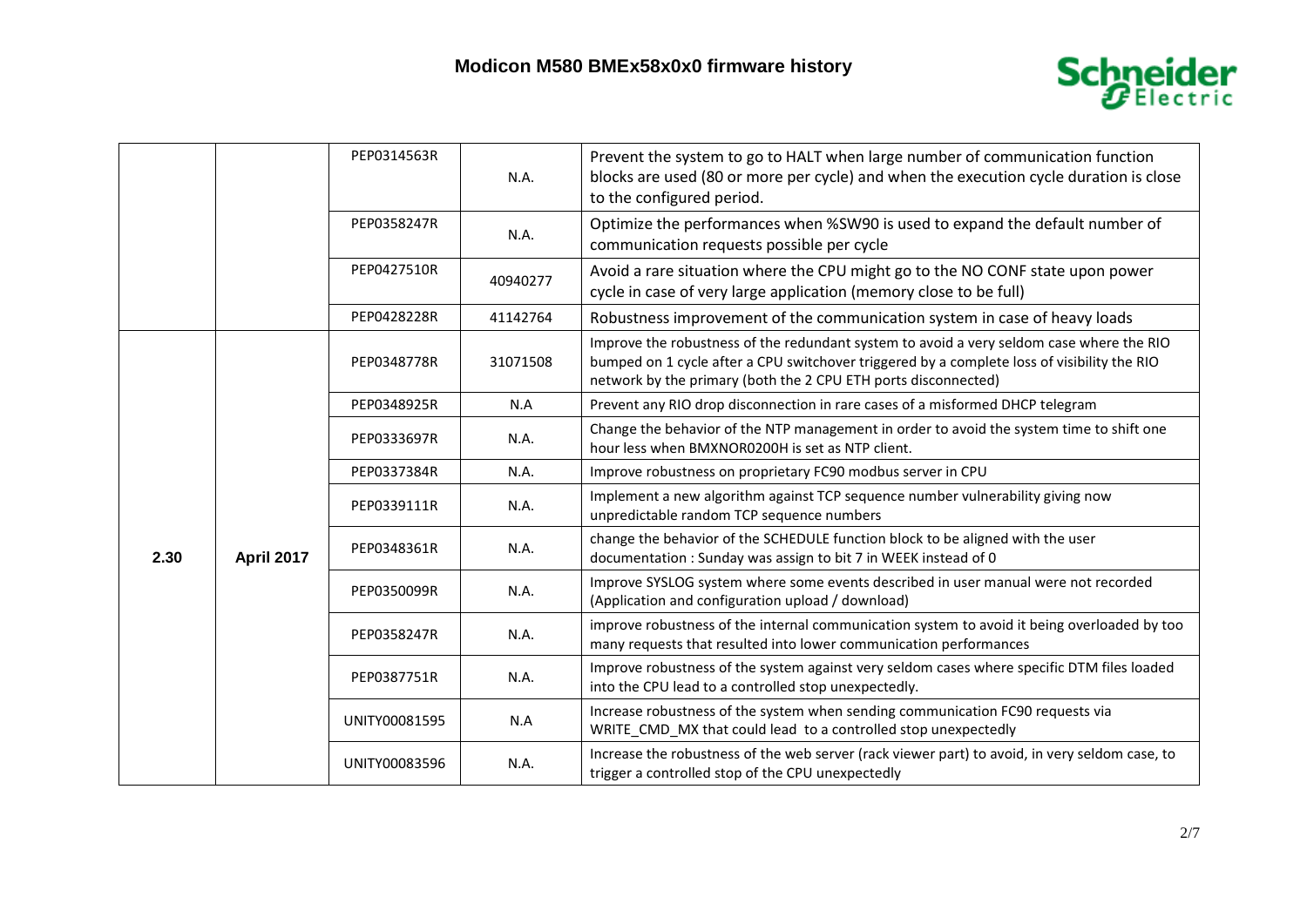

|      |            | PEP0314563R   | N.A.     | Prevent the system to go to HALT when large number of communication function<br>blocks are used (80 or more per cycle) and when the execution cycle duration is close<br>to the configured period.                                                        |
|------|------------|---------------|----------|-----------------------------------------------------------------------------------------------------------------------------------------------------------------------------------------------------------------------------------------------------------|
|      |            | PEP0358247R   | N.A.     | Optimize the performances when %SW90 is used to expand the default number of<br>communication requests possible per cycle                                                                                                                                 |
|      |            | PEP0427510R   | 40940277 | Avoid a rare situation where the CPU might go to the NO CONF state upon power<br>cycle in case of very large application (memory close to be full)                                                                                                        |
|      |            | PEP0428228R   | 41142764 | Robustness improvement of the communication system in case of heavy loads                                                                                                                                                                                 |
|      |            | PEP0348778R   | 31071508 | Improve the robustness of the redundant system to avoid a very seldom case where the RIO<br>bumped on 1 cycle after a CPU switchover triggered by a complete loss of visibility the RIO<br>network by the primary (both the 2 CPU ETH ports disconnected) |
|      |            | PEP0348925R   | N.A      | Prevent any RIO drop disconnection in rare cases of a misformed DHCP telegram                                                                                                                                                                             |
|      | April 2017 | PEP0333697R   | N.A.     | Change the behavior of the NTP management in order to avoid the system time to shift one<br>hour less when BMXNOR0200H is set as NTP client.                                                                                                              |
|      |            | PEP0337384R   | N.A.     | Improve robustness on proprietary FC90 modbus server in CPU                                                                                                                                                                                               |
|      |            | PEP0339111R   | N.A.     | Implement a new algorithm against TCP sequence number vulnerability giving now<br>unpredictable random TCP sequence numbers                                                                                                                               |
| 2.30 |            | PEP0348361R   | N.A.     | change the behavior of the SCHEDULE function block to be aligned with the user<br>documentation: Sunday was assign to bit 7 in WEEK instead of 0                                                                                                          |
|      |            | PEP0350099R   | N.A.     | Improve SYSLOG system where some events described in user manual were not recorded<br>(Application and configuration upload / download)                                                                                                                   |
|      |            | PEP0358247R   | N.A.     | improve robustness of the internal communication system to avoid it being overloaded by too<br>many requests that resulted into lower communication performances                                                                                          |
|      |            | PEP0387751R   | N.A.     | Improve robustness of the system against very seldom cases where specific DTM files loaded<br>into the CPU lead to a controlled stop unexpectedly.                                                                                                        |
|      |            | UNITY00081595 | N.A      | Increase robustness of the system when sending communication FC90 requests via<br>WRITE CMD MX that could lead to a controlled stop unexpectedly                                                                                                          |
|      |            | UNITY00083596 | N.A.     | Increase the robustness of the web server (rack viewer part) to avoid, in very seldom case, to<br>trigger a controlled stop of the CPU unexpectedly                                                                                                       |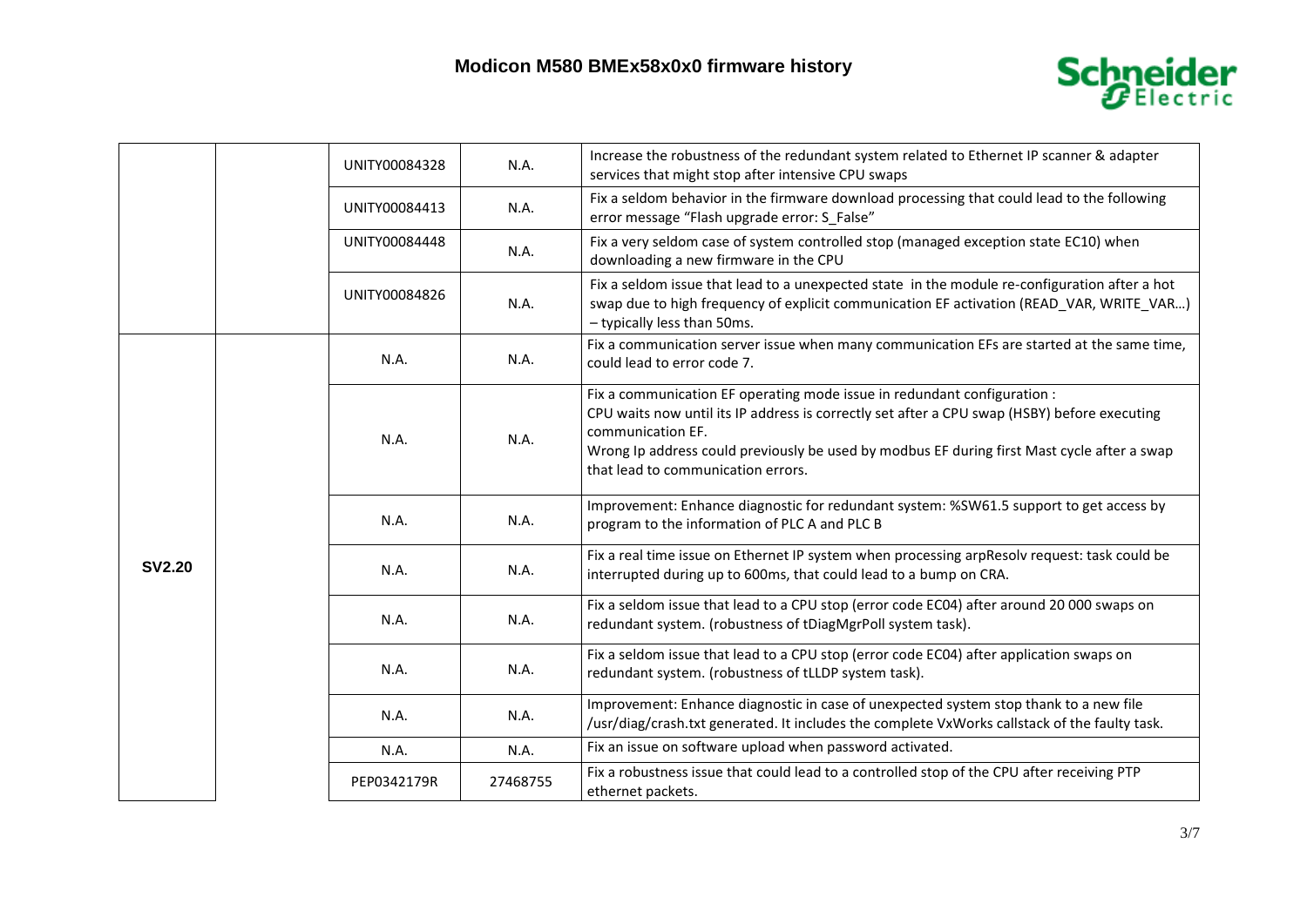

|               |  | UNITY00084328 | N.A.     | Increase the robustness of the redundant system related to Ethernet IP scanner & adapter<br>services that might stop after intensive CPU swaps                                                                                                                                                                                     |
|---------------|--|---------------|----------|------------------------------------------------------------------------------------------------------------------------------------------------------------------------------------------------------------------------------------------------------------------------------------------------------------------------------------|
|               |  | UNITY00084413 | N.A.     | Fix a seldom behavior in the firmware download processing that could lead to the following<br>error message "Flash upgrade error: S False"                                                                                                                                                                                         |
|               |  | UNITY00084448 | N.A.     | Fix a very seldom case of system controlled stop (managed exception state EC10) when<br>downloading a new firmware in the CPU                                                                                                                                                                                                      |
|               |  | UNITY00084826 | N.A.     | Fix a seldom issue that lead to a unexpected state in the module re-configuration after a hot<br>swap due to high frequency of explicit communication EF activation (READ_VAR, WRITE_VAR)<br>- typically less than 50ms.                                                                                                           |
|               |  | N.A.          | N.A.     | Fix a communication server issue when many communication EFs are started at the same time,<br>could lead to error code 7.                                                                                                                                                                                                          |
| <b>SV2.20</b> |  | N.A.          | N.A.     | Fix a communication EF operating mode issue in redundant configuration :<br>CPU waits now until its IP address is correctly set after a CPU swap (HSBY) before executing<br>communication EF.<br>Wrong Ip address could previously be used by modbus EF during first Mast cycle after a swap<br>that lead to communication errors. |
|               |  | N.A.          | N.A.     | Improvement: Enhance diagnostic for redundant system: %SW61.5 support to get access by<br>program to the information of PLC A and PLC B                                                                                                                                                                                            |
|               |  | N.A.          | N.A.     | Fix a real time issue on Ethernet IP system when processing arpResolv request: task could be<br>interrupted during up to 600ms, that could lead to a bump on CRA.                                                                                                                                                                  |
|               |  | N.A.          | N.A.     | Fix a seldom issue that lead to a CPU stop (error code EC04) after around 20 000 swaps on<br>redundant system. (robustness of tDiagMgrPoll system task).                                                                                                                                                                           |
|               |  | N.A.          | N.A.     | Fix a seldom issue that lead to a CPU stop (error code EC04) after application swaps on<br>redundant system. (robustness of tLLDP system task).                                                                                                                                                                                    |
|               |  | N.A.          | N.A.     | Improvement: Enhance diagnostic in case of unexpected system stop thank to a new file<br>/usr/diag/crash.txt generated. It includes the complete VxWorks callstack of the faulty task.                                                                                                                                             |
|               |  | N.A.          | N.A.     | Fix an issue on software upload when password activated.                                                                                                                                                                                                                                                                           |
|               |  | PEP0342179R   | 27468755 | Fix a robustness issue that could lead to a controlled stop of the CPU after receiving PTP<br>ethernet packets.                                                                                                                                                                                                                    |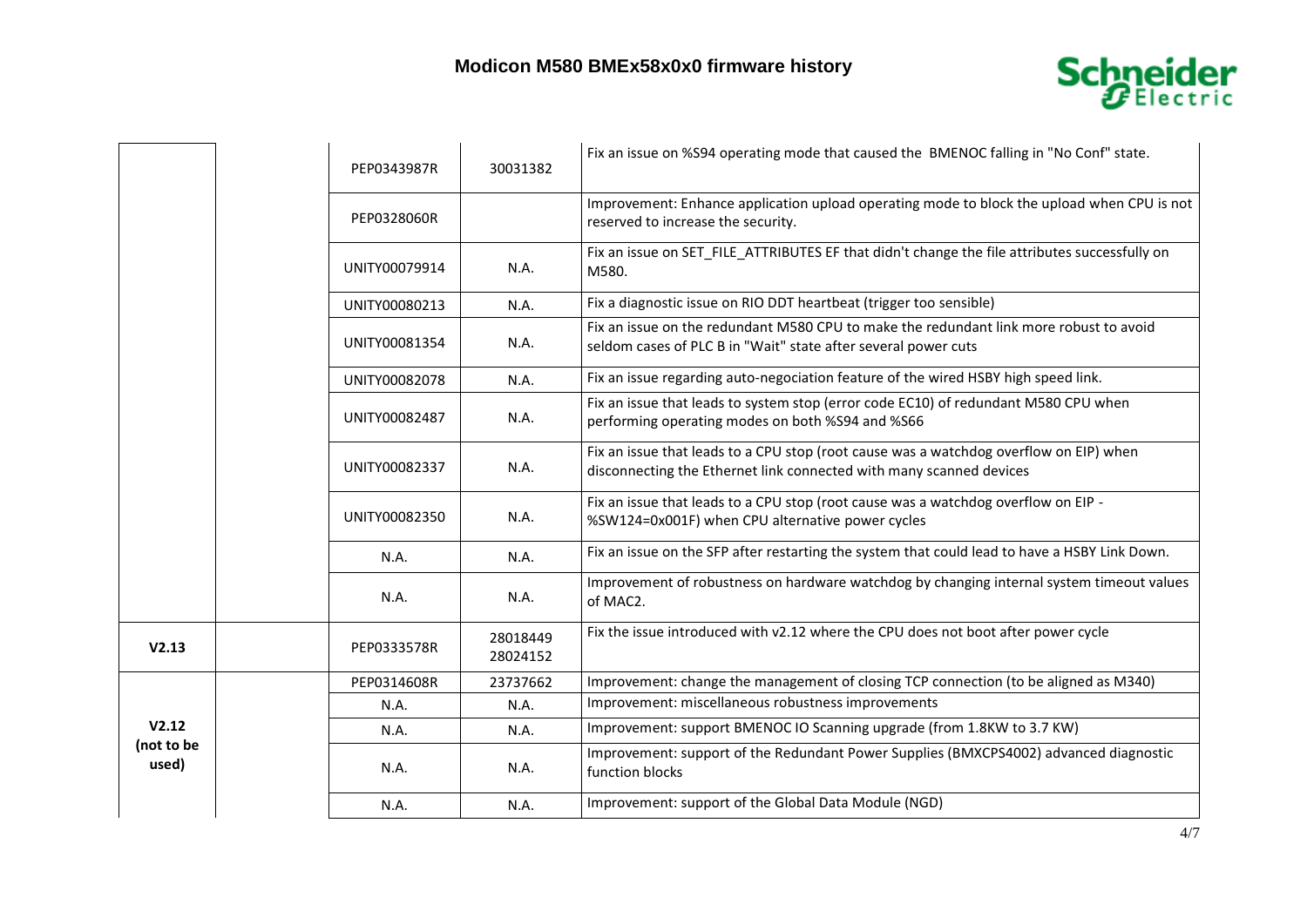

|                              |  | PEP0343987R   | 30031382             | Fix an issue on %S94 operating mode that caused the BMENOC falling in "No Conf" state.                                                                        |
|------------------------------|--|---------------|----------------------|---------------------------------------------------------------------------------------------------------------------------------------------------------------|
|                              |  | PEP0328060R   |                      | Improvement: Enhance application upload operating mode to block the upload when CPU is not<br>reserved to increase the security.                              |
|                              |  | UNITY00079914 | N.A.                 | Fix an issue on SET FILE ATTRIBUTES EF that didn't change the file attributes successfully on<br>M580.                                                        |
|                              |  | UNITY00080213 | N.A.                 | Fix a diagnostic issue on RIO DDT heartbeat (trigger too sensible)                                                                                            |
|                              |  | UNITY00081354 | N.A.                 | Fix an issue on the redundant M580 CPU to make the redundant link more robust to avoid<br>seldom cases of PLC B in "Wait" state after several power cuts      |
|                              |  | UNITY00082078 | N.A.                 | Fix an issue regarding auto-negociation feature of the wired HSBY high speed link.                                                                            |
|                              |  | UNITY00082487 | N.A.                 | Fix an issue that leads to system stop (error code EC10) of redundant M580 CPU when<br>performing operating modes on both %S94 and %S66                       |
|                              |  | UNITY00082337 | N.A.                 | Fix an issue that leads to a CPU stop (root cause was a watchdog overflow on EIP) when<br>disconnecting the Ethernet link connected with many scanned devices |
|                              |  | UNITY00082350 | N.A.                 | Fix an issue that leads to a CPU stop (root cause was a watchdog overflow on EIP -<br>%SW124=0x001F) when CPU alternative power cycles                        |
|                              |  | N.A.          | N.A.                 | Fix an issue on the SFP after restarting the system that could lead to have a HSBY Link Down.                                                                 |
|                              |  | N.A.          | N.A.                 | Improvement of robustness on hardware watchdog by changing internal system timeout values<br>of MAC2.                                                         |
| V2.13                        |  | PEP0333578R   | 28018449<br>28024152 | Fix the issue introduced with v2.12 where the CPU does not boot after power cycle                                                                             |
| V2.12<br>(not to be<br>used) |  | PEP0314608R   | 23737662             | Improvement: change the management of closing TCP connection (to be aligned as M340)                                                                          |
|                              |  | N.A.          | N.A.                 | Improvement: miscellaneous robustness improvements                                                                                                            |
|                              |  | N.A.          | N.A.                 | Improvement: support BMENOC IO Scanning upgrade (from 1.8KW to 3.7 KW)                                                                                        |
|                              |  | N.A.          | N.A.                 | Improvement: support of the Redundant Power Supplies (BMXCPS4002) advanced diagnostic<br>function blocks                                                      |
|                              |  | N.A.          | N.A.                 | Improvement: support of the Global Data Module (NGD)                                                                                                          |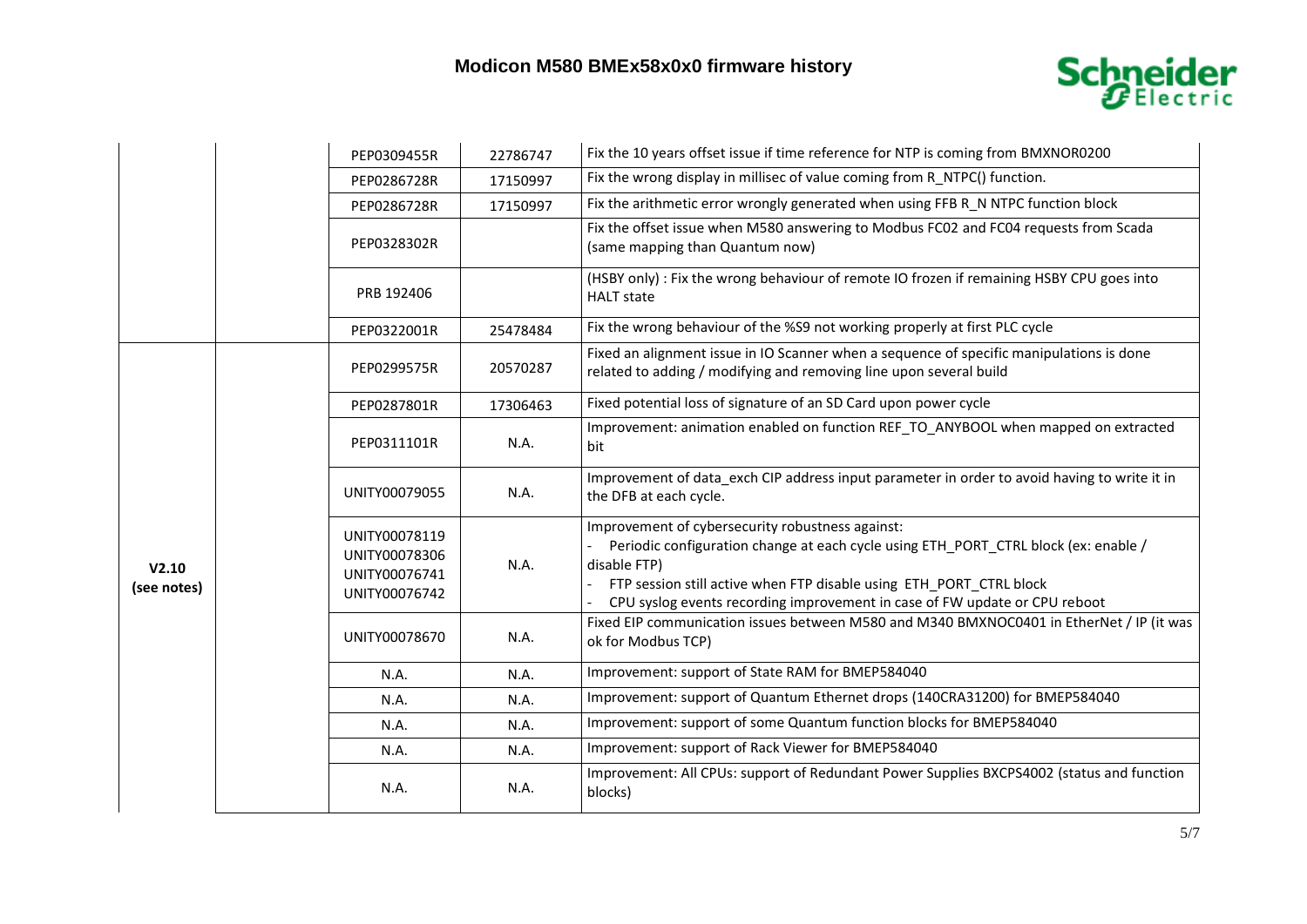## **Modicon M580 BMEx58x0x0 firmware history**



|                      |  | PEP0309455R                                                      | 22786747 | Fix the 10 years offset issue if time reference for NTP is coming from BMXNOR0200                                                                                                                                                                                                                            |
|----------------------|--|------------------------------------------------------------------|----------|--------------------------------------------------------------------------------------------------------------------------------------------------------------------------------------------------------------------------------------------------------------------------------------------------------------|
|                      |  | PEP0286728R                                                      | 17150997 | Fix the wrong display in millisec of value coming from R_NTPC() function.                                                                                                                                                                                                                                    |
|                      |  | PEP0286728R                                                      | 17150997 | Fix the arithmetic error wrongly generated when using FFB R N NTPC function block                                                                                                                                                                                                                            |
|                      |  | PEP0328302R                                                      |          | Fix the offset issue when M580 answering to Modbus FC02 and FC04 requests from Scada<br>(same mapping than Quantum now)                                                                                                                                                                                      |
|                      |  | PRB 192406                                                       |          | (HSBY only) : Fix the wrong behaviour of remote IO frozen if remaining HSBY CPU goes into<br><b>HALT</b> state                                                                                                                                                                                               |
|                      |  | PEP0322001R                                                      | 25478484 | Fix the wrong behaviour of the %S9 not working properly at first PLC cycle                                                                                                                                                                                                                                   |
|                      |  | PEP0299575R                                                      | 20570287 | Fixed an alignment issue in IO Scanner when a sequence of specific manipulations is done<br>related to adding / modifying and removing line upon several build                                                                                                                                               |
|                      |  | PEP0287801R                                                      | 17306463 | Fixed potential loss of signature of an SD Card upon power cycle                                                                                                                                                                                                                                             |
| V2.10<br>(see notes) |  | PEP0311101R                                                      | N.A.     | Improvement: animation enabled on function REF TO ANYBOOL when mapped on extracted<br>bit                                                                                                                                                                                                                    |
|                      |  | UNITY00079055                                                    | N.A.     | Improvement of data_exch CIP address input parameter in order to avoid having to write it in<br>the DFB at each cycle.                                                                                                                                                                                       |
|                      |  | UNITY00078119<br>UNITY00078306<br>UNITY00076741<br>UNITY00076742 | N.A.     | Improvement of cybersecurity robustness against:<br>Periodic configuration change at each cycle using ETH PORT CTRL block (ex: enable /<br>disable FTP)<br>FTP session still active when FTP disable using ETH PORT CTRL block<br>CPU syslog events recording improvement in case of FW update or CPU reboot |
|                      |  | UNITY00078670                                                    | N.A.     | Fixed EIP communication issues between M580 and M340 BMXNOC0401 in EtherNet / IP (it was<br>ok for Modbus TCP)                                                                                                                                                                                               |
|                      |  | N.A.                                                             | N.A.     | Improvement: support of State RAM for BMEP584040                                                                                                                                                                                                                                                             |
|                      |  | N.A.                                                             | N.A.     | Improvement: support of Quantum Ethernet drops (140CRA31200) for BMEP584040                                                                                                                                                                                                                                  |
|                      |  | N.A.                                                             | N.A.     | Improvement: support of some Quantum function blocks for BMEP584040                                                                                                                                                                                                                                          |
|                      |  | N.A.                                                             | N.A.     | Improvement: support of Rack Viewer for BMEP584040                                                                                                                                                                                                                                                           |
|                      |  | N.A.                                                             | N.A.     | Improvement: All CPUs: support of Redundant Power Supplies BXCPS4002 (status and function<br>blocks)                                                                                                                                                                                                         |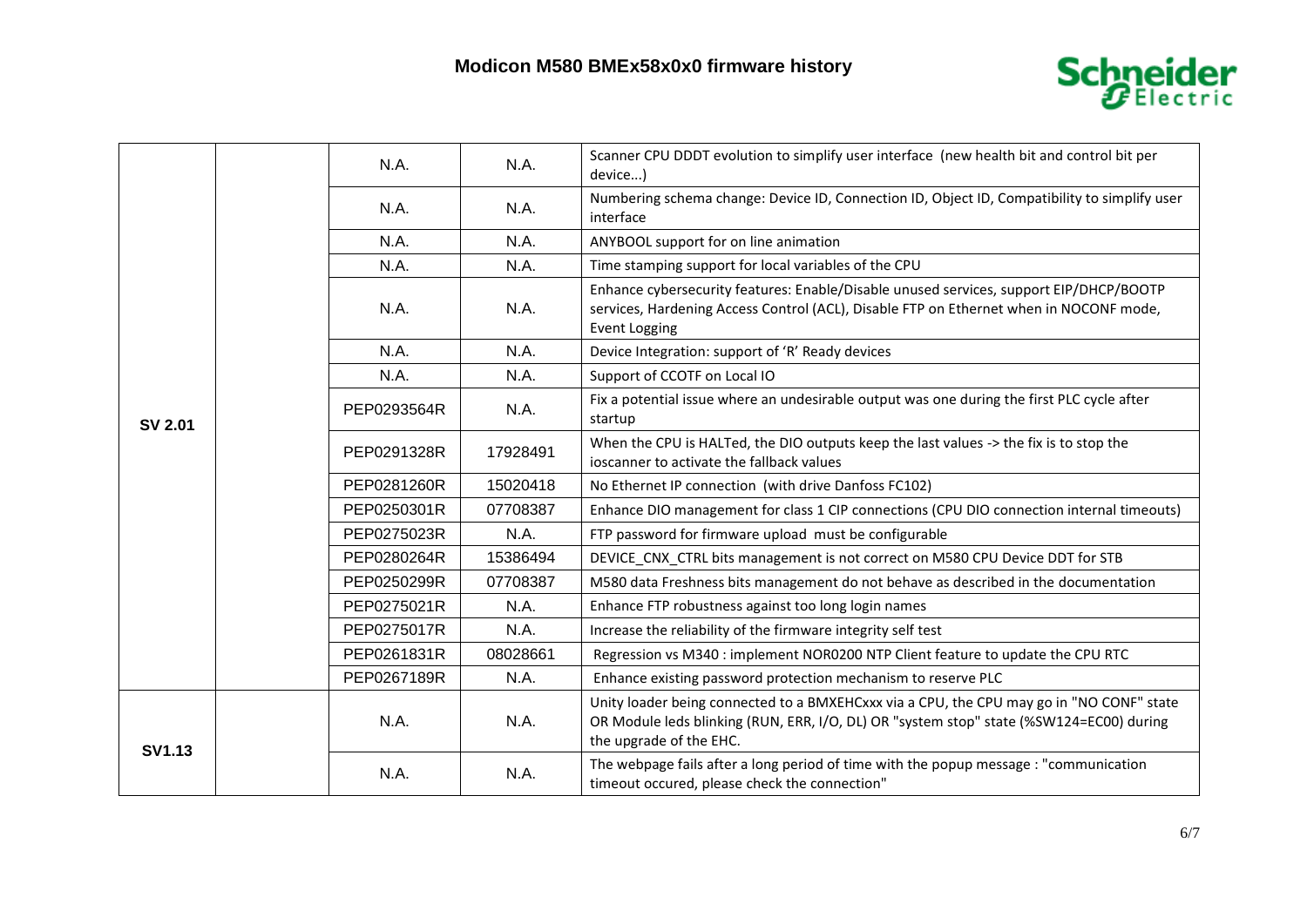

|               |  | N.A.        | N.A.     | Scanner CPU DDDT evolution to simplify user interface (new health bit and control bit per<br>device)                                                                                                           |
|---------------|--|-------------|----------|----------------------------------------------------------------------------------------------------------------------------------------------------------------------------------------------------------------|
|               |  | N.A.        | N.A.     | Numbering schema change: Device ID, Connection ID, Object ID, Compatibility to simplify user<br>interface                                                                                                      |
|               |  | N.A.        | N.A.     | ANYBOOL support for on line animation                                                                                                                                                                          |
|               |  | N.A.        | N.A.     | Time stamping support for local variables of the CPU                                                                                                                                                           |
|               |  | N.A.        | N.A.     | Enhance cybersecurity features: Enable/Disable unused services, support EIP/DHCP/BOOTP<br>services, Hardening Access Control (ACL), Disable FTP on Ethernet when in NOCONF mode,<br><b>Event Logging</b>       |
|               |  | N.A.        | N.A.     | Device Integration: support of 'R' Ready devices                                                                                                                                                               |
|               |  | N.A.        | N.A.     | Support of CCOTF on Local IO                                                                                                                                                                                   |
| SV 2.01       |  | PEP0293564R | N.A.     | Fix a potential issue where an undesirable output was one during the first PLC cycle after<br>startup                                                                                                          |
|               |  | PEP0291328R | 17928491 | When the CPU is HALTed, the DIO outputs keep the last values -> the fix is to stop the<br>ioscanner to activate the fallback values                                                                            |
|               |  | PEP0281260R | 15020418 | No Ethernet IP connection (with drive Danfoss FC102)                                                                                                                                                           |
|               |  | PEP0250301R | 07708387 | Enhance DIO management for class 1 CIP connections (CPU DIO connection internal timeouts)                                                                                                                      |
|               |  | PEP0275023R | N.A.     | FTP password for firmware upload must be configurable                                                                                                                                                          |
|               |  | PEP0280264R | 15386494 | DEVICE_CNX_CTRL bits management is not correct on M580 CPU Device DDT for STB                                                                                                                                  |
|               |  | PEP0250299R | 07708387 | M580 data Freshness bits management do not behave as described in the documentation                                                                                                                            |
|               |  | PEP0275021R | N.A.     | Enhance FTP robustness against too long login names                                                                                                                                                            |
|               |  | PEP0275017R | N.A.     | Increase the reliability of the firmware integrity self test                                                                                                                                                   |
|               |  | PEP0261831R | 08028661 | Regression vs M340 : implement NOR0200 NTP Client feature to update the CPU RTC                                                                                                                                |
|               |  | PEP0267189R | N.A.     | Enhance existing password protection mechanism to reserve PLC                                                                                                                                                  |
| <b>SV1.13</b> |  | N.A.        | N.A.     | Unity loader being connected to a BMXEHCxxx via a CPU, the CPU may go in "NO CONF" state<br>OR Module leds blinking (RUN, ERR, I/O, DL) OR "system stop" state (%SW124=EC00) during<br>the upgrade of the EHC. |
|               |  | N.A.        | N.A.     | The webpage fails after a long period of time with the popup message : "communication<br>timeout occured, please check the connection"                                                                         |